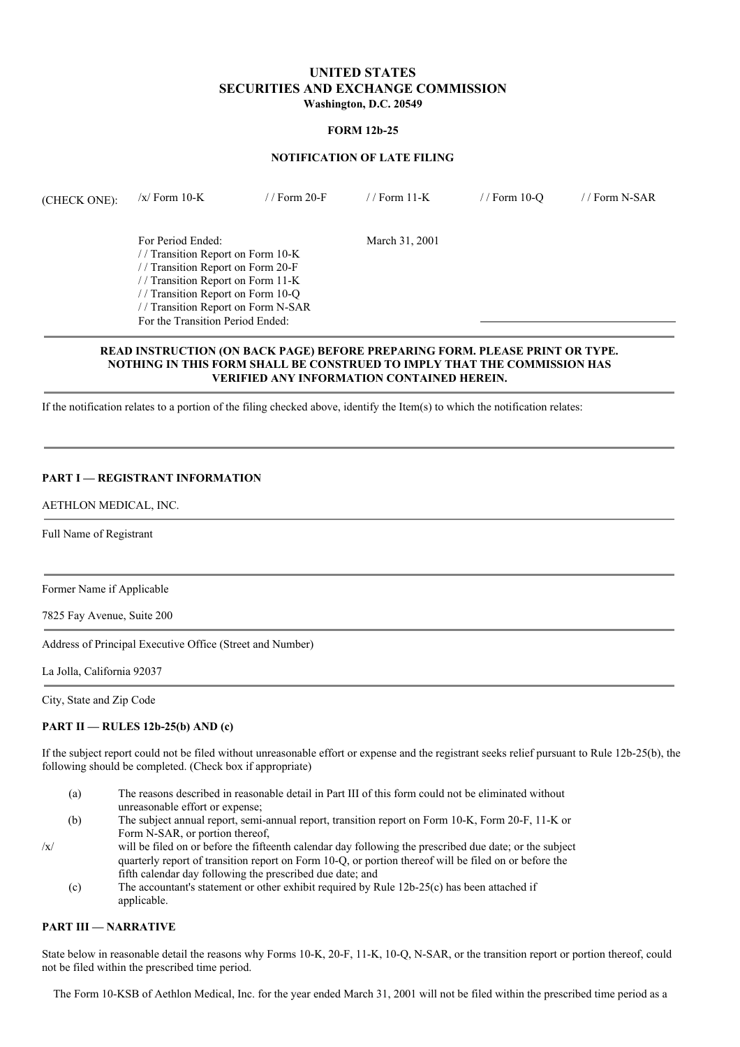# **UNITED STATES SECURITIES AND EXCHANGE COMMISSION Washington, D.C. 20549**

#### **FORM 12b-25**

# **NOTIFICATION OF LATE FILING**

| (CHECK ONE): | $\overline{X}$ Form 10-K                                                                                                                                                                                                                        | //Form 20-F | //Form 11-K    | //Form 10-Q | //Form N-SAR |
|--------------|-------------------------------------------------------------------------------------------------------------------------------------------------------------------------------------------------------------------------------------------------|-------------|----------------|-------------|--------------|
|              | For Period Ended:<br>// Transition Report on Form 10-K<br>// Transition Report on Form 20-F<br>// Transition Report on Form 11-K<br>// Transition Report on Form 10-Q<br>// Transition Report on Form N-SAR<br>For the Transition Period Ended: |             | March 31, 2001 |             |              |

### **READ INSTRUCTION (ON BACK PAGE) BEFORE PREPARING FORM. PLEASE PRINT OR TYPE. NOTHING IN THIS FORM SHALL BE CONSTRUED TO IMPLY THAT THE COMMISSION HAS VERIFIED ANY INFORMATION CONTAINED HEREIN.**

If the notification relates to a portion of the filing checked above, identify the Item(s) to which the notification relates:

### **PART I — REGISTRANT INFORMATION**

AETHLON MEDICAL, INC.

Full Name of Registrant

Former Name if Applicable

7825 Fay Avenue, Suite 200

Address of Principal Executive Office (Street and Number)

La Jolla, California 92037

City, State and Zip Code

## **PART II — RULES 12b-25(b) AND (c)**

If the subject report could not be filed without unreasonable effort or expense and the registrant seeks relief pursuant to Rule 12b-25(b), the following should be completed. (Check box if appropriate)

- (a) The reasons described in reasonable detail in Part III of this form could not be eliminated without unreasonable effort or expense;
- (b) The subject annual report, semi-annual report, transition report on Form 10-K, Form 20-F, 11-K or Form N-SAR, or portion thereof,
- /x/ will be filed on or before the fifteenth calendar day following the prescribed due date; or the subject quarterly report of transition report on Form 10-Q, or portion thereof will be filed on or before the fifth calendar day following the prescribed due date; and
	- (c) The accountant's statement or other exhibit required by Rule 12b-25(c) has been attached if applicable.

#### **PART III — NARRATIVE**

State below in reasonable detail the reasons why Forms 10-K, 20-F, 11-K, 10-Q, N-SAR, or the transition report or portion thereof, could not be filed within the prescribed time period.

The Form 10-KSB of Aethlon Medical, Inc. for the year ended March 31, 2001 will not be filed within the prescribed time period as a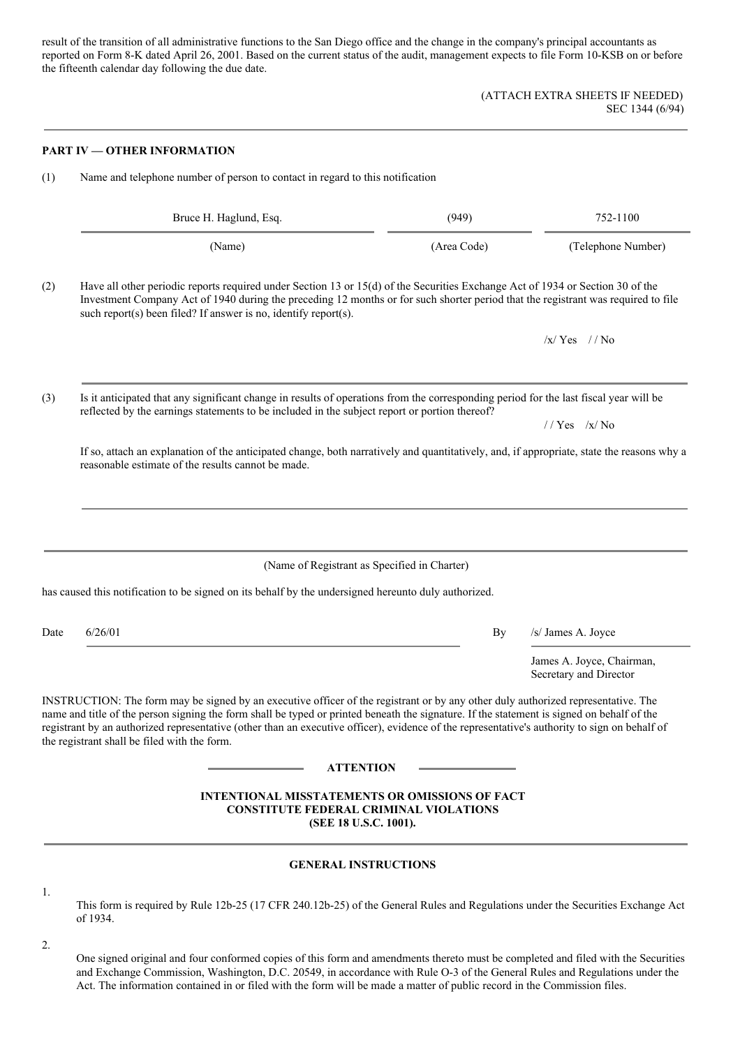result of the transition of all administrative functions to the San Diego office and the change in the company's principal accountants as reported on Form 8-K dated April 26, 2001. Based on the current status of the audit, management expects to file Form 10-KSB on or before the fifteenth calendar day following the due date.

# (ATTACH EXTRA SHEETS IF NEEDED) SEC 1344 (6/94)

| (1)  | Name and telephone number of person to contact in regard to this notification                                                                                                                                                                                                                                                                                                                                                                                                    |             |                                                     |
|------|----------------------------------------------------------------------------------------------------------------------------------------------------------------------------------------------------------------------------------------------------------------------------------------------------------------------------------------------------------------------------------------------------------------------------------------------------------------------------------|-------------|-----------------------------------------------------|
|      | Bruce H. Haglund, Esq.                                                                                                                                                                                                                                                                                                                                                                                                                                                           | (949)       | 752-1100                                            |
|      | (Name)                                                                                                                                                                                                                                                                                                                                                                                                                                                                           | (Area Code) | (Telephone Number)                                  |
| (2)  | Have all other periodic reports required under Section 13 or 15(d) of the Securities Exchange Act of 1934 or Section 30 of the<br>Investment Company Act of 1940 during the preceding 12 months or for such shorter period that the registrant was required to file<br>such report(s) been filed? If answer is no, identify report(s).                                                                                                                                           |             |                                                     |
|      |                                                                                                                                                                                                                                                                                                                                                                                                                                                                                  |             | $\sqrt{x}$ Yes $\frac{7}{N0}$                       |
| (3)  | Is it anticipated that any significant change in results of operations from the corresponding period for the last fiscal year will be                                                                                                                                                                                                                                                                                                                                            |             |                                                     |
|      | reflected by the earnings statements to be included in the subject report or portion thereof?                                                                                                                                                                                                                                                                                                                                                                                    |             | // Yes $/x/No$                                      |
|      | reasonable estimate of the results cannot be made.                                                                                                                                                                                                                                                                                                                                                                                                                               |             |                                                     |
|      | (Name of Registrant as Specified in Charter)<br>has caused this notification to be signed on its behalf by the undersigned hereunto duly authorized.                                                                                                                                                                                                                                                                                                                             |             |                                                     |
| Date | 6/26/01                                                                                                                                                                                                                                                                                                                                                                                                                                                                          | By          | /s/ James A. Joyce                                  |
|      |                                                                                                                                                                                                                                                                                                                                                                                                                                                                                  |             | James A. Joyce, Chairman,<br>Secretary and Director |
|      | INSTRUCTION: The form may be signed by an executive officer of the registrant or by any other duly authorized representative. The<br>name and title of the person signing the form shall be typed or printed beneath the signature. If the statement is signed on behalf of the<br>registrant by an authorized representative (other than an executive officer), evidence of the representative's authority to sign on behalf of<br>the registrant shall be filed with the form. |             |                                                     |
|      | <b>ATTENTION</b>                                                                                                                                                                                                                                                                                                                                                                                                                                                                 |             |                                                     |
|      | <b>INTENTIONAL MISSTATEMENTS OR OMISSIONS OF FACT</b><br><b>CONSTITUTE FEDERAL CRIMINAL VIOLATIONS</b><br>(SEE 18 U.S.C. 1001).                                                                                                                                                                                                                                                                                                                                                  |             |                                                     |

2.

of 1934.

One signed original and four conformed copies of this form and amendments thereto must be completed and filed with the Securities and Exchange Commission, Washington, D.C. 20549, in accordance with Rule O-3 of the General Rules and Regulations under the Act. The information contained in or filed with the form will be made a matter of public record in the Commission files.